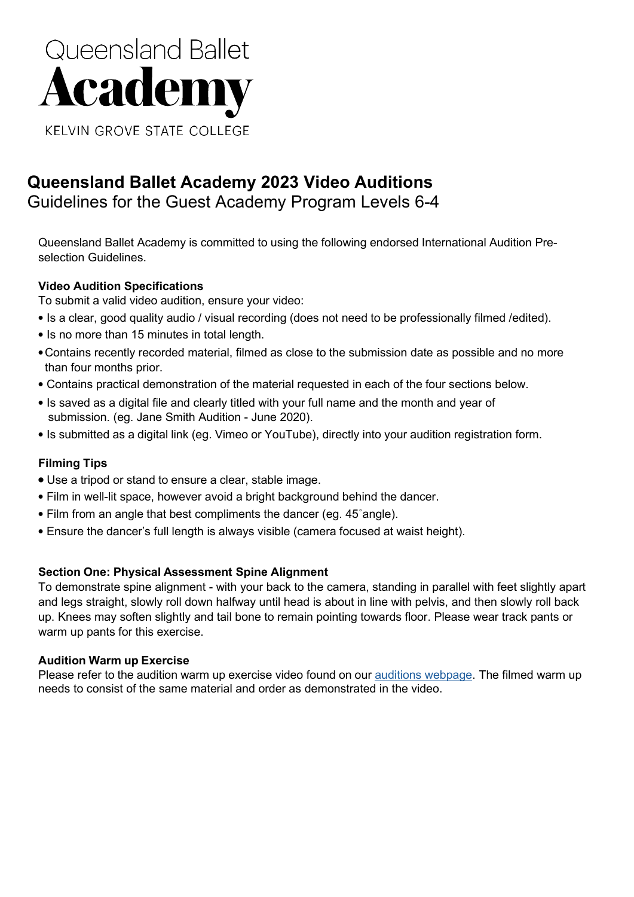# Queensland Ballet **Academy KELVIN GROVE STATE COLLEGE**

### **Queensland Ballet Academy 2023 Video Auditions** Guidelines for the Guest Academy Program Levels 6-4

Queensland Ballet Academy is committed to using the following endorsed International Audition Preselection Guidelines.

#### **Video Audition Specifications**

To submit a valid video audition, ensure your video:

- Is a clear, good quality audio / visual recording (does not need to be professionally filmed /edited).
- Is no more than 15 minutes in total length.
- •Contains recently recorded material, filmed as close to the submission date as possible and no more than four months prior.
- Contains practical demonstration of the material requested in each of the four sections below.
- Is saved as a digital file and clearly titled with your full name and the month and year of submission. (eg. Jane Smith Audition - June 2020).
- Is submitted as a digital link (eg. Vimeo or YouTube), directly into your audition registration form.

#### **Filming Tips**

- **•** Use a tripod or stand to ensure a clear, stable image.
- Film in well-lit space, however avoid a bright background behind the dancer.
- Film from an angle that best compliments the dancer (eg. 45˚angle).
- Ensure the dancer's full length is always visible (camera focused at waist height).

#### **Section One: Physical Assessment Spine Alignment**

To demonstrate spine alignment - with your back to the camera, standing in parallel with feet slightly apart and legs straight, slowly roll down halfway until head is about in line with pelvis, and then slowly roll back up. Knees may soften slightly and tail bone to remain pointing towards floor. Please wear track pants or warm up pants for this exercise.

#### **Audition Warm up Exercise**

Please refer to the audition warm up exercise video found on our auditions [webpage.](https://www.queenslandballet.com.au/academy/about-academy/auditions/video-auditions) The filmed warm up needs to consist of the same material and order as demonstrated in the video.